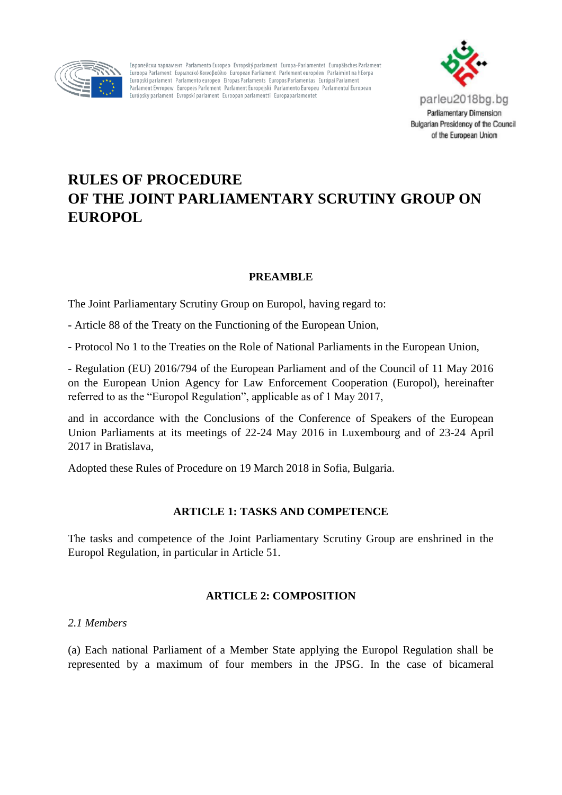

Европейски парламент Parlamento Europeo Evropský parlament Europa-Parlamentet Europäisches Parlament Euroopa Parlament, Euporgikó Kojvoßoúλio, European Parliament, Parlement européen, Parlaimint na hEorpa Europski parlament Parlamento europeo Eiropas Parlaments Europos Parlamentas Európai Parlament Parlament Ewropew Europees Parlement Parlament Europejski Parlamento Europeu Parlamentul European Európsky parlament Evropski parlament Euroopan parlamentti Europaparlamentet



# **RULES OF PROCEDURE OF THE JOINT PARLIAMENTARY SCRUTINY GROUP ON EUROPOL**

# **PREAMBLE**

The Joint Parliamentary Scrutiny Group on Europol, having regard to:

- Article 88 of the Treaty on the Functioning of the European Union,

- Protocol No 1 to the Treaties on the Role of National Parliaments in the European Union,

- Regulation (EU) 2016/794 of the European Parliament and of the Council of 11 May 2016 on the European Union Agency for Law Enforcement Cooperation (Europol), hereinafter referred to as the "Europol Regulation", applicable as of 1 May 2017,

and in accordance with the Conclusions of the Conference of Speakers of the European Union Parliaments at its meetings of 22-24 May 2016 in Luxembourg and of 23-24 April 2017 in Bratislava,

Adopted these Rules of Procedure on 19 March 2018 in Sofia, Bulgaria.

# **ARTICLE 1: TASKS AND COMPETENCE**

The tasks and competence of the Joint Parliamentary Scrutiny Group are enshrined in the Europol Regulation, in particular in Article 51.

# **ARTICLE 2: COMPOSITION**

#### *2.1 Members*

(a) Each national Parliament of a Member State applying the Europol Regulation shall be represented by a maximum of four members in the JPSG. In the case of bicameral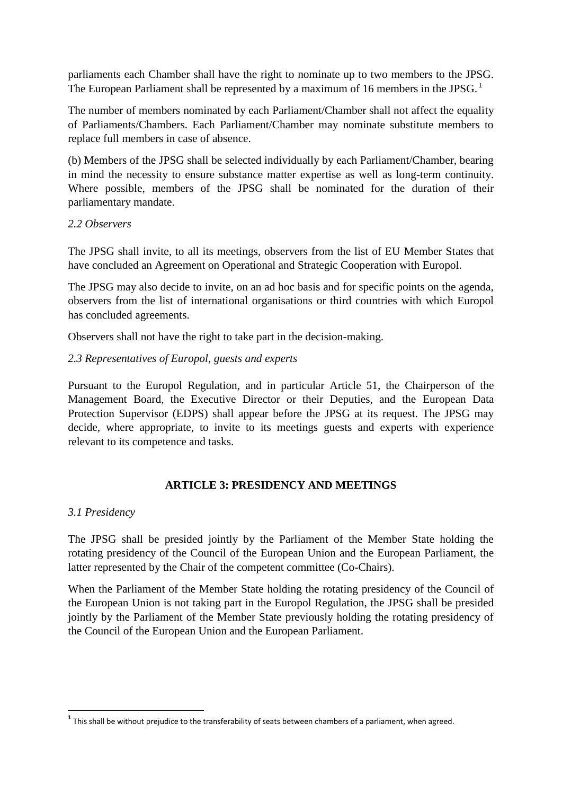parliaments each Chamber shall have the right to nominate up to two members to the JPSG. The European Parliament shall be represented by a maximum of 16 members in the JPSG.<sup>1</sup>

The number of members nominated by each Parliament/Chamber shall not affect the equality of Parliaments/Chambers. Each Parliament/Chamber may nominate substitute members to replace full members in case of absence.

(b) Members of the JPSG shall be selected individually by each Parliament/Chamber, bearing in mind the necessity to ensure substance matter expertise as well as long-term continuity. Where possible, members of the JPSG shall be nominated for the duration of their parliamentary mandate.

# *2.2 Observers*

The JPSG shall invite, to all its meetings, observers from the list of EU Member States that have concluded an Agreement on Operational and Strategic Cooperation with Europol.

The JPSG may also decide to invite, on an ad hoc basis and for specific points on the agenda, observers from the list of international organisations or third countries with which Europol has concluded agreements.

Observers shall not have the right to take part in the decision-making.

# *2.3 Representatives of Europol, guests and experts*

Pursuant to the Europol Regulation, and in particular Article 51, the Chairperson of the Management Board, the Executive Director or their Deputies, and the European Data Protection Supervisor (EDPS) shall appear before the JPSG at its request. The JPSG may decide, where appropriate, to invite to its meetings guests and experts with experience relevant to its competence and tasks.

# **ARTICLE 3: PRESIDENCY AND MEETINGS**

# *3.1 Presidency*

**.** 

The JPSG shall be presided jointly by the Parliament of the Member State holding the rotating presidency of the Council of the European Union and the European Parliament, the latter represented by the Chair of the competent committee (Co-Chairs).

When the Parliament of the Member State holding the rotating presidency of the Council of the European Union is not taking part in the Europol Regulation, the JPSG shall be presided jointly by the Parliament of the Member State previously holding the rotating presidency of the Council of the European Union and the European Parliament.

**<sup>1</sup>** This shall be without prejudice to the transferability of seats between chambers of a parliament, when agreed.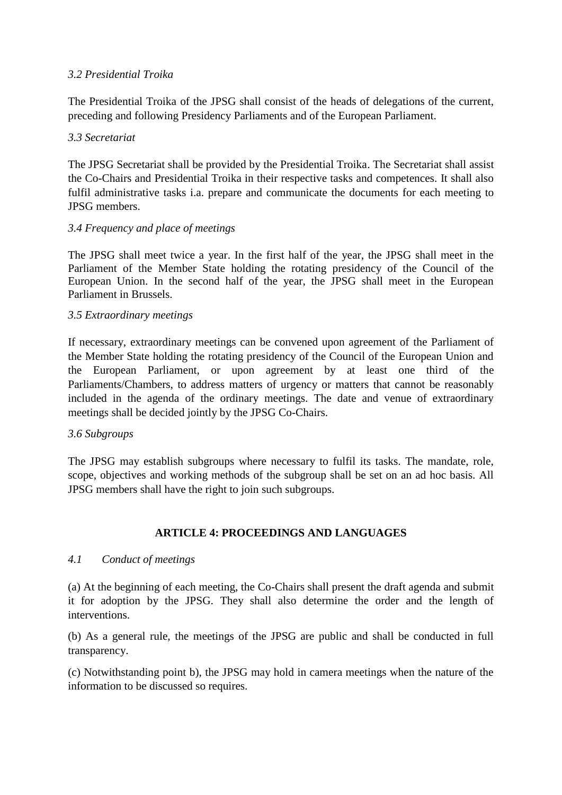# *3.2 Presidential Troika*

The Presidential Troika of the JPSG shall consist of the heads of delegations of the current, preceding and following Presidency Parliaments and of the European Parliament.

# *3.3 Secretariat*

The JPSG Secretariat shall be provided by the Presidential Troika. The Secretariat shall assist the Co-Chairs and Presidential Troika in their respective tasks and competences. It shall also fulfil administrative tasks i.a. prepare and communicate the documents for each meeting to JPSG members.

# *3.4 Frequency and place of meetings*

The JPSG shall meet twice a year. In the first half of the year, the JPSG shall meet in the Parliament of the Member State holding the rotating presidency of the Council of the European Union. In the second half of the year, the JPSG shall meet in the European Parliament in Brussels.

# *3.5 Extraordinary meetings*

If necessary, extraordinary meetings can be convened upon agreement of the Parliament of the Member State holding the rotating presidency of the Council of the European Union and the European Parliament, or upon agreement by at least one third of the Parliaments/Chambers, to address matters of urgency or matters that cannot be reasonably included in the agenda of the ordinary meetings. The date and venue of extraordinary meetings shall be decided jointly by the JPSG Co-Chairs.

#### *3.6 Subgroups*

The JPSG may establish subgroups where necessary to fulfil its tasks. The mandate, role, scope, objectives and working methods of the subgroup shall be set on an ad hoc basis. All JPSG members shall have the right to join such subgroups.

# **ARTICLE 4: PROCEEDINGS AND LANGUAGES**

#### *4.1 Conduct of meetings*

(a) At the beginning of each meeting, the Co-Chairs shall present the draft agenda and submit it for adoption by the JPSG. They shall also determine the order and the length of interventions.

(b) As a general rule, the meetings of the JPSG are public and shall be conducted in full transparency.

(c) Notwithstanding point b), the JPSG may hold in camera meetings when the nature of the information to be discussed so requires.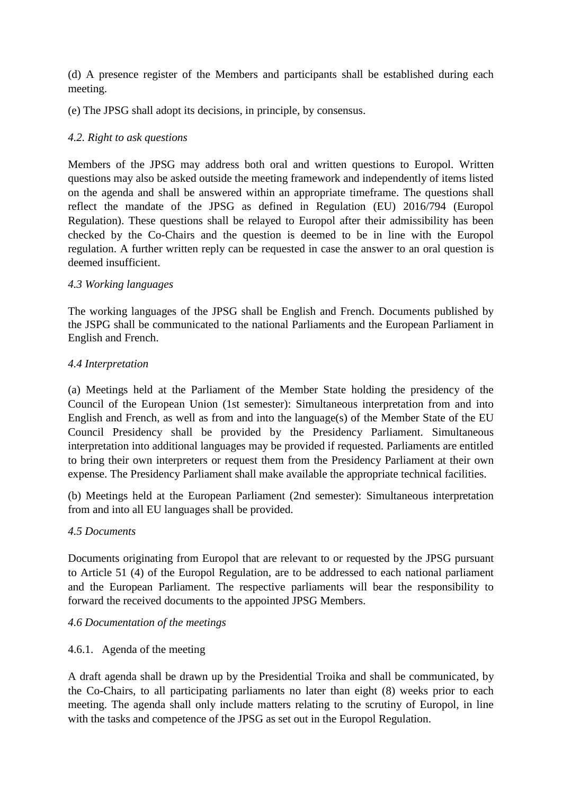(d) A presence register of the Members and participants shall be established during each meeting.

(e) The JPSG shall adopt its decisions, in principle, by consensus.

# *4.2. Right to ask questions*

Members of the JPSG may address both oral and written questions to Europol. Written questions may also be asked outside the meeting framework and independently of items listed on the agenda and shall be answered within an appropriate timeframe. The questions shall reflect the mandate of the JPSG as defined in Regulation (EU) 2016/794 (Europol Regulation). These questions shall be relayed to Europol after their admissibility has been checked by the Co-Chairs and the question is deemed to be in line with the Europol regulation. A further written reply can be requested in case the answer to an oral question is deemed insufficient.

# *4.3 Working languages*

The working languages of the JPSG shall be English and French. Documents published by the JSPG shall be communicated to the national Parliaments and the European Parliament in English and French.

# *4.4 Interpretation*

(a) Meetings held at the Parliament of the Member State holding the presidency of the Council of the European Union (1st semester): Simultaneous interpretation from and into English and French, as well as from and into the language(s) of the Member State of the EU Council Presidency shall be provided by the Presidency Parliament. Simultaneous interpretation into additional languages may be provided if requested. Parliaments are entitled to bring their own interpreters or request them from the Presidency Parliament at their own expense. The Presidency Parliament shall make available the appropriate technical facilities.

(b) Meetings held at the European Parliament (2nd semester): Simultaneous interpretation from and into all EU languages shall be provided.

#### *4.5 Documents*

Documents originating from Europol that are relevant to or requested by the JPSG pursuant to Article 51 (4) of the Europol Regulation, are to be addressed to each national parliament and the European Parliament. The respective parliaments will bear the responsibility to forward the received documents to the appointed JPSG Members.

#### *4.6 Documentation of the meetings*

#### 4.6.1. Agenda of the meeting

A draft agenda shall be drawn up by the Presidential Troika and shall be communicated, by the Co-Chairs, to all participating parliaments no later than eight (8) weeks prior to each meeting. The agenda shall only include matters relating to the scrutiny of Europol, in line with the tasks and competence of the JPSG as set out in the Europol Regulation.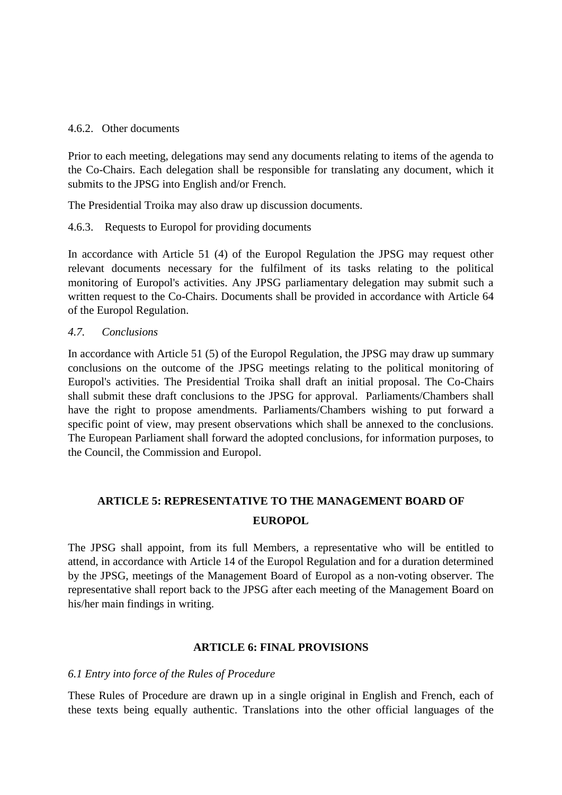#### 4.6.2. Other documents

Prior to each meeting, delegations may send any documents relating to items of the agenda to the Co-Chairs. Each delegation shall be responsible for translating any document, which it submits to the JPSG into English and/or French.

The Presidential Troika may also draw up discussion documents.

# 4.6.3. Requests to Europol for providing documents

In accordance with Article 51 (4) of the Europol Regulation the JPSG may request other relevant documents necessary for the fulfilment of its tasks relating to the political monitoring of Europol's activities. Any JPSG parliamentary delegation may submit such a written request to the Co-Chairs. Documents shall be provided in accordance with Article 64 of the Europol Regulation.

# *4.7. Conclusions*

In accordance with Article 51 (5) of the Europol Regulation, the JPSG may draw up summary conclusions on the outcome of the JPSG meetings relating to the political monitoring of Europol's activities. The Presidential Troika shall draft an initial proposal. The Co-Chairs shall submit these draft conclusions to the JPSG for approval. Parliaments/Chambers shall have the right to propose amendments. Parliaments/Chambers wishing to put forward a specific point of view, may present observations which shall be annexed to the conclusions. The European Parliament shall forward the adopted conclusions, for information purposes, to the Council, the Commission and Europol.

# **ARTICLE 5: REPRESENTATIVE TO THE MANAGEMENT BOARD OF EUROPOL**

The JPSG shall appoint, from its full Members, a representative who will be entitled to attend, in accordance with Article 14 of the Europol Regulation and for a duration determined by the JPSG, meetings of the Management Board of Europol as a non-voting observer. The representative shall report back to the JPSG after each meeting of the Management Board on his/her main findings in writing.

#### **ARTICLE 6: FINAL PROVISIONS**

#### *6.1 Entry into force of the Rules of Procedure*

These Rules of Procedure are drawn up in a single original in English and French, each of these texts being equally authentic. Translations into the other official languages of the